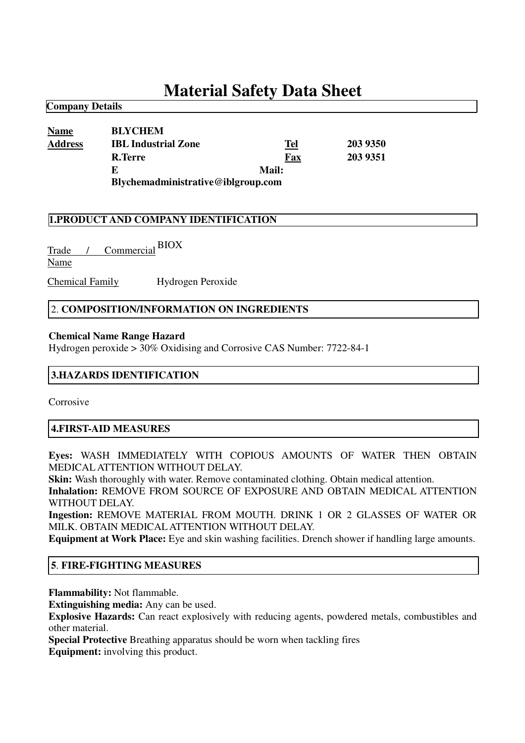# **Material Safety Data Sheet**

| <b>Name</b>    | <b>BLYCHEM</b>                     |              |          |
|----------------|------------------------------------|--------------|----------|
| <b>Address</b> | <b>IBL Industrial Zone</b>         | Tel          | 203 9350 |
|                | R.Terre                            | Fax          | 203 9351 |
|                | E                                  | <b>Mail:</b> |          |
|                | Blychemadministrative@iblgroup.com |              |          |

## **1.PRODUCT AND COMPANY IDENTIFICATION**

Trade / Commercial BIOX Name

**Company Details**

Chemical Family Hydrogen Peroxide

## 2. **COMPOSITION/INFORMATION ON INGREDIENTS**

#### **Chemical Name Range Hazard**

Hydrogen peroxide > 30% Oxidising and Corrosive CAS Number: 7722-84-1

## **3.HAZARDS IDENTIFICATION**

Corrosive

## **4.FIRST-AID MEASURES**

**Eyes:** WASH IMMEDIATELY WITH COPIOUS AMOUNTS OF WATER THEN OBTAIN MEDICALATTENTION WITHOUT DELAY.

**Skin:** Wash thoroughly with water. Remove contaminated clothing. Obtain medical attention.

**Inhalation:** REMOVE FROM SOURCE OF EXPOSURE AND OBTAIN MEDICAL ATTENTION WITHOUT DELAY.

**Ingestion:** REMOVE MATERIAL FROM MOUTH. DRINK 1 OR 2 GLASSES OF WATER OR MILK. OBTAIN MEDICALATTENTION WITHOUT DELAY.

**Equipment at Work Place:** Eye and skin washing facilities. Drench shower if handling large amounts.

## **5**. **FIRE-FIGHTING MEASURES**

**Flammability:** Not flammable.

**Extinguishing media:** Any can be used.

**Explosive Hazards:** Can react explosively with reducing agents, powdered metals, combustibles and other material.

**Special Protective** Breathing apparatus should be worn when tackling fires **Equipment:** involving this product.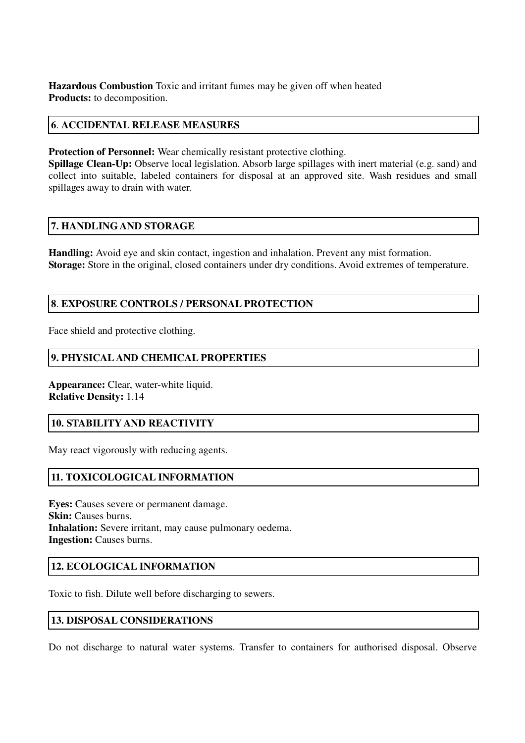**Hazardous Combustion** Toxic and irritant fumes may be given off when heated **Products:** to decomposition.

## **6**. **ACCIDENTAL RELEASE MEASURES**

**Protection of Personnel:** Wear chemically resistant protective clothing.

**Spillage Clean-Up:** Observe local legislation. Absorb large spillages with inert material (e.g. sand) and collect into suitable, labeled containers for disposal at an approved site. Wash residues and small spillages away to drain with water.

## **7. HANDLINGAND STORAGE**

**Handling:** Avoid eye and skin contact, ingestion and inhalation. Prevent any mist formation. **Storage:** Store in the original, closed containers under dry conditions. Avoid extremes of temperature.

## **8**. **EXPOSURE CONTROLS / PERSONAL PROTECTION**

Face shield and protective clothing.

# **9. PHYSICAL AND CHEMICAL PROPERTIES**

**Appearance:** Clear, water-white liquid. **Relative Density:** 1.14

## **10. STABILITY AND REACTIVITY**

May react vigorously with reducing agents.

# **11. TOXICOLOGICAL INFORMATION**

**Eyes:** Causes severe or permanent damage. **Skin:** Causes burns. **Inhalation:** Severe irritant, may cause pulmonary oedema. **Ingestion:** Causes burns.

# **12. ECOLOGICAL INFORMATION**

Toxic to fish. Dilute well before discharging to sewers.

## **13. DISPOSAL CONSIDERATIONS**

Do not discharge to natural water systems. Transfer to containers for authorised disposal. Observe